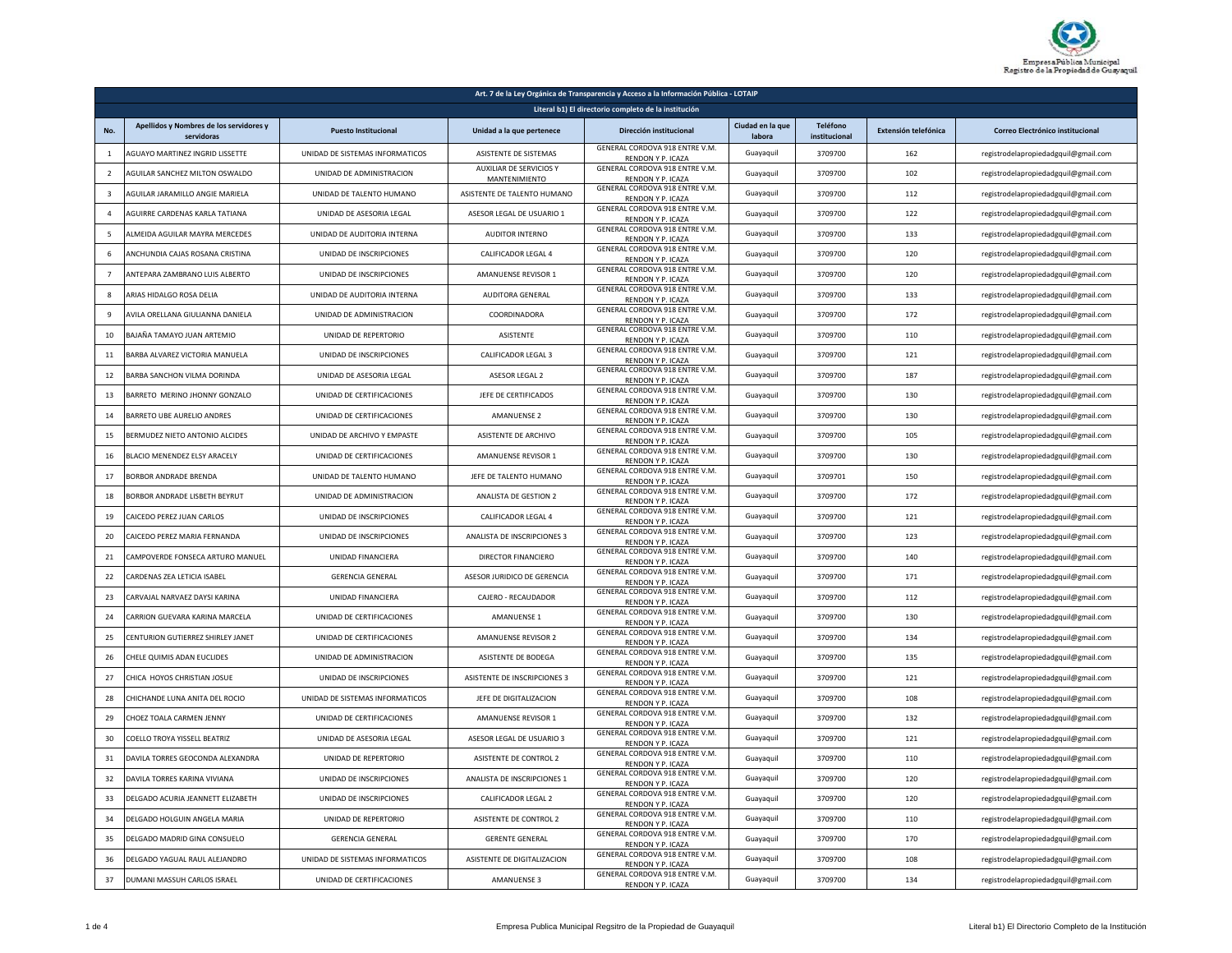

| Art. 7 de la Ley Orgánica de Transparencia y Acceso a la Información Pública - LOTAIP |                                                       |                                 |                                          |                                                            |                            |                           |                      |                                      |
|---------------------------------------------------------------------------------------|-------------------------------------------------------|---------------------------------|------------------------------------------|------------------------------------------------------------|----------------------------|---------------------------|----------------------|--------------------------------------|
| Literal b1) El directorio completo de la institución                                  |                                                       |                                 |                                          |                                                            |                            |                           |                      |                                      |
| No.                                                                                   | Apellidos y Nombres de los servidores y<br>servidoras | <b>Puesto Institucional</b>     | Unidad a la que pertenece                | Dirección institucional                                    | Ciudad en la que<br>labora | Teléfono<br>institucional | Extensión telefónica | Correo Electrónico institucional     |
| $\overline{1}$                                                                        | AGUAYO MARTINEZ INGRID LISSETTE                       | UNIDAD DE SISTEMAS INFORMATICOS | ASISTENTE DE SISTEMAS                    | GENERAL CORDOVA 918 ENTRE V.M.<br>RENDON Y P. ICAZA        | Guayaquil                  | 3709700                   | 162                  | registrodelapropiedadgquil@gmail.com |
| $\overline{2}$                                                                        | AGUILAR SANCHEZ MILTON OSWALDO                        | UNIDAD DE ADMINISTRACION        | AUXILIAR DE SERVICIOS Y<br>MANTENIMIENTO | GENERAL CORDOVA 918 ENTRE V.M.<br><b>RENDON Y P. ICAZA</b> | Guayaquil                  | 3709700                   | 102                  | registrodelapropiedadgquil@gmail.com |
| $\overline{3}$                                                                        | <b>AGUILAR JARAMILLO ANGIE MARIELA</b>                | UNIDAD DE TALENTO HUMANO        | ASISTENTE DE TALENTO HUMANO              | GENERAL CORDOVA 918 ENTRE V.M.<br>RENDON Y P. ICAZA        | Guayaquil                  | 3709700                   | 112                  | registrodelapropiedadgquil@gmail.com |
| $\overline{4}$                                                                        | AGUIRRE CARDENAS KARLA TATIANA                        | UNIDAD DE ASESORIA LEGAL        | ASESOR LEGAL DE USUARIO 1                | GENERAL CORDOVA 918 ENTRE V.M.<br><b>RENDON Y P. ICAZA</b> | Guayaquil                  | 3709700                   | 122                  | registrodelapropiedadgquil@gmail.com |
| 5                                                                                     | ALMEIDA AGUILAR MAYRA MERCEDES                        | UNIDAD DE AUDITORIA INTERNA     | <b>AUDITOR INTERNO</b>                   | GENERAL CORDOVA 918 ENTRE V.M.<br>RENDON Y P. ICAZA        | Guayaquil                  | 3709700                   | 133                  | registrodelapropiedadgquil@gmail.com |
| -6                                                                                    | ANCHUNDIA CAJAS ROSANA CRISTINA                       | UNIDAD DE INSCRIPCIONES         | CALIFICADOR LEGAL 4                      | GENERAL CORDOVA 918 ENTRE V.M.<br>RENDON Y P. ICAZA        | Guayaquil                  | 3709700                   | 120                  | registrodelapropiedadgquil@gmail.com |
| $\overline{7}$                                                                        | ANTEPARA ZAMBRANO LUIS ALBERTO                        | UNIDAD DE INSCRIPCIONES         | AMANUENSE REVISOR 1                      | GENERAL CORDOVA 918 ENTRE V.M.<br>RENDON Y P. ICAZA        | Guayaquil                  | 3709700                   | 120                  | registrodelapropiedadgquil@gmail.com |
| 8                                                                                     | ARIAS HIDALGO ROSA DELIA                              | UNIDAD DE AUDITORIA INTERNA     | AUDITORA GENERAL                         | GENERAL CORDOVA 918 ENTRE V.M.<br>RENDON Y P. ICAZA        | Guayaquil                  | 3709700                   | 133                  | registrodelapropiedadgquil@gmail.com |
| $\mathbf{q}$                                                                          | AVILA ORELLANA GIULIANNA DANIELA                      | UNIDAD DE ADMINISTRACION        | COORDINADORA                             | GENERAL CORDOVA 918 ENTRE V.M.<br>RENDON Y P. ICAZA        | Guayaquil                  | 3709700                   | 172                  | registrodelapropiedadgquil@gmail.com |
| 10                                                                                    | BAJAÑA TAMAYO JUAN ARTEMIO                            | UNIDAD DE REPERTORIO            | ASISTENTE                                | GENERAL CORDOVA 918 ENTRE V.M.<br>RENDON Y P. ICAZA        | Guayaquil                  | 3709700                   | 110                  | registrodelapropiedadgquil@gmail.com |
| 11                                                                                    | BARBA ALVAREZ VICTORIA MANUELA                        | UNIDAD DE INSCRIPCIONES         | CALIFICADOR LEGAL 3                      | GENERAL CORDOVA 918 ENTRE V.M.<br><b>RENDON Y P. ICAZA</b> | Guayaquil                  | 3709700                   | 121                  | registrodelapropiedadgquil@gmail.com |
| 12                                                                                    | BARBA SANCHON VILMA DORINDA                           | UNIDAD DE ASESORIA LEGAL        | ASESOR LEGAL 2                           | GENERAL CORDOVA 918 ENTRE V.M.<br>RENDON Y P. ICAZA        | Guayaquil                  | 3709700                   | 187                  | registrodelapropiedadgquil@gmail.com |
| 13                                                                                    | BARRETO MERINO JHONNY GONZALO                         | UNIDAD DE CERTIFICACIONES       | JEFE DE CERTIFICADOS                     | GENERAL CORDOVA 918 ENTRE V.M.<br>RENDON Y P. ICAZA        | Guayaquil                  | 3709700                   | 130                  | registrodelapropiedadgquil@gmail.com |
| 14                                                                                    | BARRETO UBE AURELIO ANDRES                            | UNIDAD DE CERTIFICACIONES       | <b>AMANUENSE 2</b>                       | GENERAL CORDOVA 918 ENTRE V.M.<br>RENDON Y P. ICAZA        | Guayaquil                  | 3709700                   | 130                  | registrodelapropiedadgquil@gmail.com |
| 15                                                                                    | BERMUDEZ NIETO ANTONIO ALCIDES                        | UNIDAD DE ARCHIVO Y EMPASTE     | ASISTENTE DE ARCHIVO                     | GENERAL CORDOVA 918 ENTRE V.M.<br>RENDON Y P. ICAZA        | Guayaquil                  | 3709700                   | 105                  | registrodelapropiedadgquil@gmail.com |
| 16                                                                                    | BLACIO MENENDEZ ELSY ARACELY                          | UNIDAD DE CERTIFICACIONES       | AMANUENSE REVISOR 1                      | GENERAL CORDOVA 918 ENTRE V.M.<br>RENDON Y P. ICAZA        | Guayaquil                  | 3709700                   | 130                  | registrodelapropiedadgquil@gmail.com |
| 17                                                                                    | BORBOR ANDRADE BRENDA                                 | UNIDAD DE TALENTO HUMANO        | JEFF DE TALENTO HUMANO                   | GENERAL CORDOVA 918 ENTRE V.M.<br>RENDON Y P. ICAZA        | Guayaquil                  | 3709701                   | 150                  | registrodelapropiedadgquil@gmail.com |
| 18                                                                                    | <b>BORBOR ANDRADE LISBETH BEYRUT</b>                  | UNIDAD DE ADMINISTRACION        | ANALISTA DE GESTION 2                    | GENERAL CORDOVA 918 ENTRE V.M.<br>RENDON Y P. ICAZA        | Guayaquil                  | 3709700                   | 172                  | registrodelapropiedadgquil@gmail.com |
| 19                                                                                    | CAICEDO PEREZ JUAN CARLOS                             | UNIDAD DE INSCRIPCIONES         | CALIFICADOR LEGAL 4                      | GENERAL CORDOVA 918 ENTRE V.M.<br>RENDON Y P. ICAZA        | Guayaquil                  | 3709700                   | 121                  | registrodelapropiedadgquil@gmail.com |
| 20                                                                                    | CAICEDO PEREZ MARIA FERNANDA                          | UNIDAD DE INSCRIPCIONES         | ANALISTA DE INSCRIPCIONES 3              | GENERAL CORDOVA 918 ENTRE V.M.<br>RENDON Y P. ICAZA        | Guayaquil                  | 3709700                   | 123                  | registrodelapropiedadgquil@gmail.com |
| 21                                                                                    | CAMPOVERDE FONSECA ARTURO MANUEL                      | <b>UNIDAD FINANCIERA</b>        | <b>DIRECTOR FINANCIERO</b>               | GENERAL CORDOVA 918 ENTRE V.M.<br><b>RENDON Y P. ICAZA</b> | Guayaquil                  | 3709700                   | 140                  | registrodelapropiedadgquil@gmail.com |
| 22                                                                                    | CARDENAS ZEA LETICIA ISABEL                           | <b>GERENCIA GENERAL</b>         | ASESOR JURIDICO DE GERENCIA              | GENERAL CORDOVA 918 ENTRE V.M.<br>RENDON Y P. ICAZA        | Guayaquil                  | 3709700                   | 171                  | registrodelapropiedadgquil@gmail.com |
| 23                                                                                    | CARVAJAL NARVAEZ DAYSI KARINA                         | UNIDAD FINANCIERA               | CAJERO - RECAUDADOR                      | GENERAL CORDOVA 918 ENTRE V.M.<br>RENDON Y P. ICAZA        | Guayaquil                  | 3709700                   | 112                  | registrodelapropiedadgquil@gmail.com |
| 24                                                                                    | <b>CARRION GUEVARA KARINA MARCELA</b>                 | UNIDAD DE CERTIFICACIONES       | <b>AMANUENSE 1</b>                       | GENERAL CORDOVA 918 ENTRE V.M.<br>RENDON Y P. ICAZA        | Guavaguil                  | 3709700                   | 130                  | registrodelapropiedadgquil@gmail.com |
| 25                                                                                    | CENTURION GUTIERREZ SHIRLEY JANET                     | UNIDAD DE CERTIFICACIONES       | AMANUENSE REVISOR 2                      | GENERAL CORDOVA 918 ENTRE V.M.<br>RENDON Y P. ICAZA        | Guayaquil                  | 3709700                   | 134                  | registrodelapropiedadgquil@gmail.com |
| 26                                                                                    | CHELE QUIMIS ADAN EUCLIDES                            | UNIDAD DE ADMINISTRACION        | <b>ASISTENTE DE BODEGA</b>               | GENERAL CORDOVA 918 ENTRE V.M.<br>RENDON Y P. ICAZA        | Guayaquil                  | 3709700                   | 135                  | registrodelapropiedadgquil@gmail.com |
| 27                                                                                    | CHICA HOYOS CHRISTIAN JOSUE                           | UNIDAD DE INSCRIPCIONES         | <b>ASISTENTE DE INSCRIPCIONES 3</b>      | GENERAL CORDOVA 918 ENTRE V.M.<br>RENDON Y P. ICAZA        | Guayaquil                  | 3709700                   | 121                  | registrodelapropiedadgquil@gmail.com |
| 28                                                                                    | CHICHANDE LUNA ANITA DEL ROCIO                        | UNIDAD DE SISTEMAS INFORMATICOS | JEFE DE DIGITALIZACION                   | GENERAL CORDOVA 918 ENTRE V.M.<br>RENDON Y P. ICAZA        | Guayaquil                  | 3709700                   | 108                  | registrodelapropiedadgquil@gmail.com |
| 29                                                                                    | CHOEZ TOALA CARMEN JENNY                              | UNIDAD DE CERTIFICACIONES       | AMANUENSE REVISOR 1                      | GENERAL CORDOVA 918 ENTRE V.M.<br>RENDON Y P. ICAZA        | Guayaquil                  | 3709700                   | 132                  | registrodelapropiedadgquil@gmail.com |
| 30                                                                                    | COELLO TROYA YISSELL BEATRIZ                          | UNIDAD DE ASESORIA LEGAL        | ASESOR LEGAL DE USUARIO 3                | GENERAL CORDOVA 918 ENTRE V.M.<br>RENDON Y P. ICAZA        | Guayaquil                  | 3709700                   | 121                  | registrodelapropiedadgquil@gmail.com |
| 31                                                                                    | DAVILA TORRES GEOCONDA ALEXANDRA                      | UNIDAD DE REPERTORIO            | ASISTENTE DE CONTROL 2                   | GENERAL CORDOVA 918 ENTRE V.M.<br>RENDON Y P. ICAZA        | Guayaquil                  | 3709700                   | 110                  | registrodelapropiedadgquil@gmail.com |
| 32                                                                                    | DAVILA TORRES KARINA VIVIANA                          | UNIDAD DE INSCRIPCIONES         | ANALISTA DE INSCRIPCIONES 1              | GENERAL CORDOVA 918 ENTRE V.M.<br>RENDON Y P. ICAZA        | Guayaquil                  | 3709700                   | 120                  | registrodelapropiedadgquil@gmail.com |
| 33                                                                                    | DELGADO ACURIA JEANNETT ELIZABETH                     | UNIDAD DE INSCRIPCIONES         | CALIFICADOR LEGAL 2                      | GENERAL CORDOVA 918 ENTRE V.M.<br>RENDON Y P. ICAZA        | Guayaquil                  | 3709700                   | 120                  | registrodelapropiedadgquil@gmail.com |
| 34                                                                                    | DELGADO HOLGUIN ANGELA MARIA                          | UNIDAD DE REPERTORIO            | ASISTENTE DE CONTROL 2                   | GENERAL CORDOVA 918 ENTRE V.M.<br>RENDON Y P. ICAZA        | Guayaquil                  | 3709700                   | 110                  | registrodelapropiedadgquil@gmail.com |
| 35                                                                                    | DELGADO MADRID GINA CONSUELO                          | <b>GERENCIA GENERAL</b>         | <b>GERENTE GENERAL</b>                   | GENERAL CORDOVA 918 ENTRE V.M.<br>RENDON Y P. ICAZA        | Guayaquil                  | 3709700                   | 170                  | registrodelapropiedadgquil@gmail.com |
| 36                                                                                    | DELGADO YAGUAL RAUL ALEJANDRO                         | UNIDAD DE SISTEMAS INFORMATICOS | ASISTENTE DE DIGITALIZACION              | GENERAL CORDOVA 918 ENTRE V.M.<br>RENDON Y P. ICAZA        | Guayaquil                  | 3709700                   | 108                  | registrodelapropiedadgquil@gmail.com |
| 37                                                                                    | DUMANI MASSUH CARLOS ISRAEL                           | UNIDAD DE CERTIFICACIONES       | AMANUENSE 3                              | GENERAL CORDOVA 918 ENTRE V.M.<br>RENDON Y P. ICAZA        | Guayaquil                  | 3709700                   | 134                  | registrodelapropiedadgquil@gmail.com |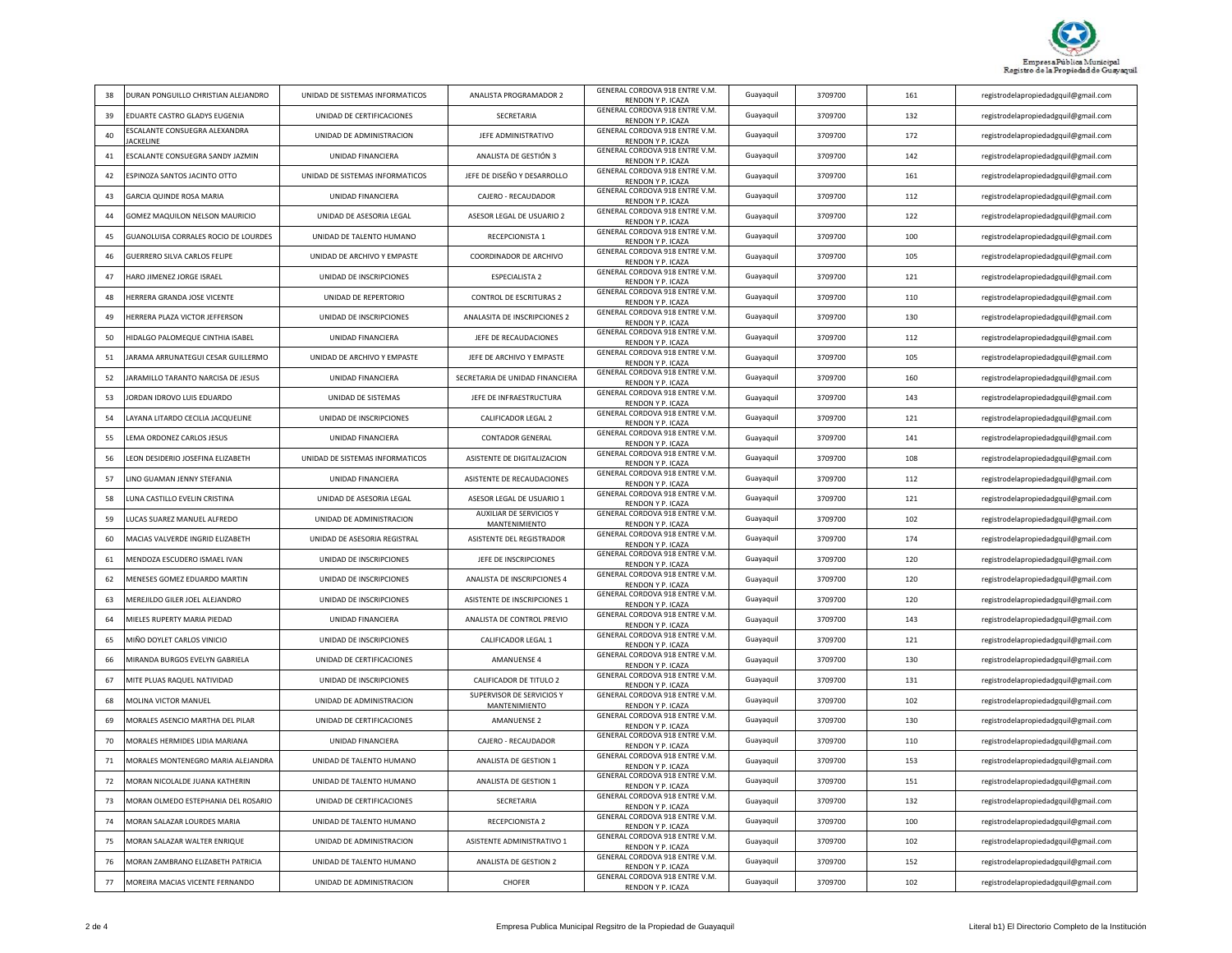

| 38 | DURAN PONGUILLO CHRISTIAN ALEJANDRO              | UNIDAD DE SISTEMAS INFORMATICOS | ANALISTA PROGRAMADOR 2                          | GENERAL CORDOVA 918 ENTRE V.M.<br>RENDON Y P. ICAZA | Guayaquil | 3709700 | 161 | registrodelapropiedadgquil@gmail.com |
|----|--------------------------------------------------|---------------------------------|-------------------------------------------------|-----------------------------------------------------|-----------|---------|-----|--------------------------------------|
| 39 | EDUARTE CASTRO GLADYS EUGENIA                    | UNIDAD DE CERTIFICACIONES       | SECRETARIA                                      | GENERAL CORDOVA 918 ENTRE V.M.<br>RENDON Y P. ICAZA | Guayaquil | 3709700 | 132 | registrodelapropiedadgquil@gmail.com |
| 40 | ESCALANTE CONSUEGRA ALEXANDRA<br><b>ACKELINE</b> | UNIDAD DE ADMINISTRACION        | JEFE ADMINISTRATIVO                             | GENERAL CORDOVA 918 ENTRE V.M.<br>RENDON Y P. ICAZA | Guayaquil | 3709700 | 172 | registrodelapropiedadgquil@gmail.com |
| 41 | ESCALANTE CONSUEGRA SANDY JAZMIN                 | UNIDAD FINANCIERA               | ANALISTA DE GESTIÓN 3                           | GENERAL CORDOVA 918 ENTRE V.M.<br>RENDON Y P. ICAZA | Guayaquil | 3709700 | 142 | registrodelapropiedadgquil@gmail.com |
| 42 | ESPINOZA SANTOS JACINTO OTTO                     | UNIDAD DE SISTEMAS INFORMATICOS | JEFE DE DISEÑO Y DESARROLLO                     | GENERAL CORDOVA 918 ENTRE V.M.<br>RENDON Y P. ICAZA | Guayaquil | 3709700 | 161 | registrodelapropiedadgquil@gmail.com |
| 43 | GARCIA QUINDE ROSA MARIA                         | UNIDAD FINANCIERA               | CAJERO - RECAUDADOR                             | GENERAL CORDOVA 918 ENTRE V.M.<br>RENDON Y P. ICAZA | Guayaquil | 3709700 | 112 | registrodelapropiedadgquil@gmail.com |
| 44 | GOMEZ MAQUILON NELSON MAURICIO                   | UNIDAD DE ASESORIA LEGAL        | ASESOR LEGAL DE USUARIO 2                       | GENERAL CORDOVA 918 ENTRE V.M.<br>RENDON Y P. ICAZA | Guayaquil | 3709700 | 122 | registrodelapropiedadgquil@gmail.com |
| 45 | GUANOLUISA CORRALES ROCIO DE LOURDES             | UNIDAD DE TALENTO HUMANO        | RECEPCIONISTA 1                                 | GENERAL CORDOVA 918 ENTRE V.M.<br>RENDON Y P. ICAZA | Guayaquil | 3709700 | 100 | registrodelapropiedadgquil@gmail.com |
| 46 | GUERRERO SILVA CARLOS FELIPE                     | UNIDAD DE ARCHIVO Y EMPASTE     | COORDINADOR DE ARCHIVO                          | GENERAL CORDOVA 918 ENTRE V.M.<br>RENDON Y P. ICAZA | Guayaquil | 3709700 | 105 | registrodelapropiedadgquil@gmail.com |
| 47 | HARO JIMENEZ JORGE ISRAEL                        | UNIDAD DE INSCRIPCIONES         | <b>ESPECIALISTA 2</b>                           | GENERAL CORDOVA 918 ENTRE V.M.<br>RENDON Y P. ICAZA | Guayaquil | 3709700 | 121 | registrodelapropiedadgquil@gmail.com |
| 48 | HERRERA GRANDA JOSE VICENTE                      | UNIDAD DE REPERTORIO            | <b>CONTROL DE ESCRITURAS 2</b>                  | GENERAL CORDOVA 918 ENTRE V.M.<br>RENDON Y P. ICAZA | Guayaquil | 3709700 | 110 | registrodelapropiedadgquil@gmail.com |
| 49 | <b>IERRERA PLAZA VICTOR JEFFERSON</b>            | UNIDAD DE INSCRIPCIONES         | ANALASITA DE INSCRIPCIONES 2                    | GENERAL CORDOVA 918 ENTRE V.M.<br>RENDON Y P. ICAZA | Guayaquil | 3709700 | 130 | registrodelapropiedadgquil@gmail.com |
| 50 | HIDALGO PALOMEQUE CINTHIA ISABEL                 | <b>UNIDAD FINANCIFRA</b>        | JEFE DE RECAUDACIONES                           | GENERAL CORDOVA 918 ENTRE V.M.<br>RENDON Y P. ICAZA | Guayaquil | 3709700 | 112 | registrodelapropiedadgquil@gmail.com |
| 51 | JARAMA ARRUNATEGUI CESAR GUILLERMO               | UNIDAD DE ARCHIVO Y EMPASTE     | JEFE DE ARCHIVO Y EMPASTE                       | GENERAL CORDOVA 918 ENTRE V.M.<br>RENDON Y P. ICAZA | Guayaquil | 3709700 | 105 | registrodelapropiedadgquil@gmail.com |
| 52 | JARAMILLO TARANTO NARCISA DE JESUS               | <b>UNIDAD FINANCIFRA</b>        | SECRETARIA DE UNIDAD FINANCIERA                 | GENERAL CORDOVA 918 ENTRE V.M.<br>RENDON Y P. ICAZA | Guavaguil | 3709700 | 160 | registrodelapropiedadgquil@gmail.com |
| 53 | JORDAN IDROVO LUIS EDUARDO                       | UNIDAD DE SISTEMAS              | JEFE DE INFRAESTRUCTURA                         | GENERAL CORDOVA 918 ENTRE V.M.<br>RENDON Y P. ICAZA | Guayaquil | 3709700 | 143 | registrodelapropiedadgquil@gmail.com |
| 54 | LAYANA LITARDO CECILIA JACQUELINE                | UNIDAD DE INSCRIPCIONES         | <b>CALIFICADOR LEGAL 2</b>                      | GENERAL CORDOVA 918 ENTRE V.M.<br>RENDON Y P. ICAZA | Guayaquil | 3709700 | 121 | registrodelapropiedadgquil@gmail.com |
| 55 | LEMA ORDONEZ CARLOS JESUS                        | UNIDAD FINANCIERA               | <b>CONTADOR GENERAL</b>                         | GENERAL CORDOVA 918 ENTRE V.M.<br>RENDON Y P. ICAZA | Guayaquil | 3709700 | 141 | registrodelapropiedadgquil@gmail.com |
| 56 | LEON DESIDERIO JOSEFINA ELIZABETH                | UNIDAD DE SISTEMAS INFORMATICOS | ASISTENTE DE DIGITALIZACIÓN                     | GENERAL CORDOVA 918 ENTRE V.M.<br>RENDON Y P. ICAZA | Guayaquil | 3709700 | 108 | registrodelapropiedadgquil@gmail.com |
| 57 | LINO GUAMAN JENNY STEFANIA                       | UNIDAD FINANCIERA               | ASISTENTE DE RECAUDACIONES                      | GENERAL CORDOVA 918 ENTRE V.M.<br>RENDON Y P. ICAZA | Guayaquil | 3709700 | 112 | registrodelapropiedadgquil@gmail.com |
| 58 | UNA CASTILLO EVELIN CRISTINA                     | UNIDAD DE ASESORIA LEGAL        | ASESOR LEGAL DE USUARIO 1                       | GENERAL CORDOVA 918 ENTRE V.M.<br>RENDON Y P. ICAZA | Guavaguil | 3709700 | 121 | registrodelapropiedadgquil@gmail.com |
| 59 | LUCAS SUAREZ MANUEL ALFREDO                      | UNIDAD DE ADMINISTRACION        | <b>AUXILIAR DE SERVICIOS Y</b><br>MANTENIMIENTO | GENERAL CORDOVA 918 ENTRE V.M.<br>RENDON Y P. ICAZA | Guayaquil | 3709700 | 102 | registrodelapropiedadgquil@gmail.com |
| 60 | MACIAS VALVERDE INGRID ELIZABETH                 | UNIDAD DE ASESORIA REGISTRAL    | ASISTENTE DEL REGISTRADOR                       | GENERAL CORDOVA 918 ENTRE V.M.<br>RENDON Y P. ICAZA | Guayaquil | 3709700 | 174 | registrodelapropiedadgquil@gmail.com |
| 61 | MENDOZA ESCUDERO ISMAEL IVAN                     | UNIDAD DE INSCRIPCIONES         | JEFE DE INSCRIPCIONES                           | GENERAL CORDOVA 918 ENTRE V.M.<br>RENDON Y P. ICAZA | Guayaquil | 3709700 | 120 | registrodelapropiedadgquil@gmail.com |
| 62 | MENESES GOMEZ EDUARDO MARTIN                     | UNIDAD DE INSCRIPCIONES         | ANALISTA DE INSCRIPCIONES 4                     | GENERAL CORDOVA 918 ENTRE V.M.<br>RENDON Y P. ICAZA | Guayaquil | 3709700 | 120 | registrodelapropiedadgquil@gmail.com |
| 63 | MEREJILDO GILER JOEL ALEJANDRO                   | UNIDAD DE INSCRIPCIONES         | ASISTENTE DE INSCRIPCIONES 1                    | GENERAL CORDOVA 918 ENTRE V.M.<br>RENDON Y P. ICAZA | Guayaquil | 3709700 | 120 | registrodelapropiedadgquil@gmail.com |
| 64 | MIELES RUPERTY MARIA PIEDAD                      | UNIDAD FINANCIERA               | ANALISTA DE CONTROL PREVIO                      | GENERAL CORDOVA 918 ENTRE V.M.<br>RENDON Y P. ICAZA | Guayaquil | 3709700 | 143 | registrodelapropiedadgquil@gmail.com |
| 65 | MIÑO DOYLET CARLOS VINICIO                       | UNIDAD DE INSCRIPCIONES         | CALIFICADOR LEGAL 1                             | GENERAL CORDOVA 918 ENTRE V.M.<br>RENDON Y P. ICAZA | Guayaquil | 3709700 | 121 | registrodelapropiedadgquil@gmail.com |
| 66 | MIRANDA BURGOS EVELYN GABRIELA                   | UNIDAD DE CERTIFICACIONES       | AMANUENSE 4                                     | GENERAL CORDOVA 918 ENTRE V.M.<br>RENDON Y P. ICAZA | Guayaquil | 3709700 | 130 | registrodelapropiedadgquil@gmail.com |
| 67 | MITE PLUAS RAQUEL NATIVIDAD                      | UNIDAD DE INSCRIPCIONES         | CALIFICADOR DE TITULO 2                         | GENERAL CORDOVA 918 ENTRE V.M.<br>RENDON Y P. ICAZA | Guayaquil | 3709700 | 131 | registrodelapropiedadgquil@gmail.com |
| 68 | MOLINA VICTOR MANUEL                             | UNIDAD DE ADMINISTRACION        | SUPERVISOR DE SERVICIOS Y<br>MANTENIMIENTO      | GENERAL CORDOVA 918 ENTRE V.M.<br>RENDON Y P. ICAZA | Guayaquil | 3709700 | 102 | registrodelapropiedadgquil@gmail.com |
| 69 | MORALES ASENCIO MARTHA DEL PILAR                 | UNIDAD DE CERTIFICACIONES       | <b>AMANUENSE 2</b>                              | GENERAL CORDOVA 918 ENTRE V.M.<br>RENDON Y P. ICAZA | Guayaquil | 3709700 | 130 | registrodelapropiedadgquil@gmail.com |
| 70 | MORALES HERMIDES LIDIA MARIANA                   | UNIDAD FINANCIERA               | CAJERO - RECAUDADOR                             | GENERAL CORDOVA 918 ENTRE V.M.<br>RENDON Y P. ICAZA | Guayaquil | 3709700 | 110 | registrodelapropiedadgquil@gmail.com |
| 71 | MORALES MONTENEGRO MARIA ALEJANDRA               | UNIDAD DE TALENTO HUMANO        | ANALISTA DE GESTION 1                           | GENERAL CORDOVA 918 ENTRE V.M.<br>RENDON Y P. ICAZA | Guayaquil | 3709700 | 153 | registrodelapropiedadgquil@gmail.com |
| 72 | MORAN NICOLALDE JUANA KATHERIN                   | UNIDAD DE TALENTO HUMANO        | ANALISTA DE GESTION 1                           | GENERAL CORDOVA 918 ENTRE V.M.<br>RENDON Y P. ICAZA | Guayaquil | 3709700 | 151 | registrodelapropiedadgquil@gmail.com |
| 73 | MORAN OLMEDO ESTEPHANIA DEL ROSARIO              | UNIDAD DE CERTIFICACIONES       | <b>SECRETARIA</b>                               | GENERAL CORDOVA 918 ENTRE V.M.<br>RENDON Y P. ICAZA | Guavaguil | 3709700 | 132 | registrodelapropiedadgquil@gmail.com |
| 74 | MORAN SALAZAR LOURDES MARIA                      | UNIDAD DE TALENTO HUMANO        | RECEPCIONISTA 2                                 | GENERAL CORDOVA 918 ENTRE V.M.<br>RENDON Y P. ICAZA | Guayaquil | 3709700 | 100 | registrodelapropiedadgquil@gmail.com |
| 75 | MORAN SALAZAR WALTER ENRIQUE                     | UNIDAD DE ADMINISTRACION        | ASISTENTE ADMINISTRATIVO 1                      | GENERAL CORDOVA 918 ENTRE V.M.<br>RENDON Y P. ICAZA | Guavaguil | 3709700 | 102 | registrodelapropiedadgquil@gmail.com |
| 76 | MORAN ZAMBRANO ELIZABETH PATRICIA                | UNIDAD DE TALENTO HUMANO        | ANALISTA DE GESTION 2                           | GENERAL CORDOVA 918 ENTRE V.M.<br>RENDON Y P. ICAZA | Guayaquil | 3709700 | 152 | registrodelapropiedadgquil@gmail.com |
| 77 | MOREIRA MACIAS VICENTE FERNANDO                  | UNIDAD DE ADMINISTRACION        | CHOFER                                          | GENERAL CORDOVA 918 ENTRE V.M.<br>RENDON Y P. ICAZA | Guayaquil | 3709700 | 102 | registrodelapropiedadgquil@gmail.com |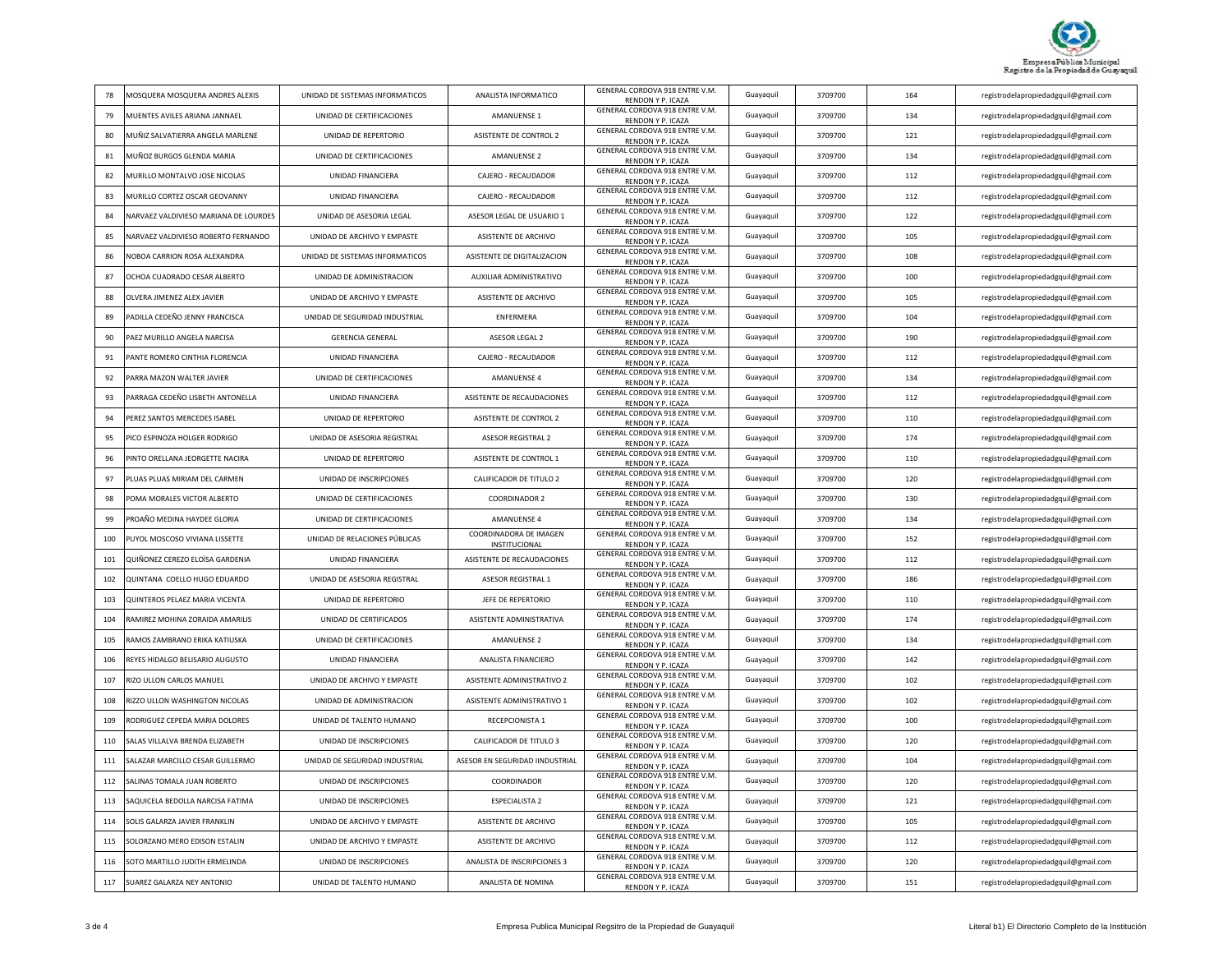

| 78  | MOSQUERA MOSQUERA ANDRES ALEXIS       | UNIDAD DE SISTEMAS INFORMATICOS | ANALISTA INFORMATICO                    | GENERAL CORDOVA 918 ENTRE V.M.<br>RENDON Y P. ICAZA | Guayaquil | 3709700 | 164 | registrodelapropiedadgquil@gmail.com |
|-----|---------------------------------------|---------------------------------|-----------------------------------------|-----------------------------------------------------|-----------|---------|-----|--------------------------------------|
| 79  | MUENTES AVILES ARIANA JANNAEL         | UNIDAD DE CERTIFICACIONES       | <b>AMANUENSE 1</b>                      | GENERAL CORDOVA 918 ENTRE V.M.<br>RENDON Y P. ICAZA | Guayaquil | 3709700 | 134 | registrodelapropiedadgquil@gmail.com |
| 80  | MUÑIZ SALVATIERRA ANGELA MARLENE      | UNIDAD DE REPERTORIO            | ASISTENTE DE CONTROL 2                  | GENERAL CORDOVA 918 ENTRE V.M.<br>RENDON Y P. ICAZA | Guayaquil | 3709700 | 121 | registrodelapropiedadgquil@gmail.com |
| 81  | MUÑOZ BURGOS GLENDA MARIA             | UNIDAD DE CERTIFICACIONES       | <b>AMANUENSE 2</b>                      | GENERAL CORDOVA 918 ENTRE V.M.<br>RENDON Y P. ICAZA | Guayaquil | 3709700 | 134 | registrodelapropiedadgquil@gmail.com |
| 82  | MURILLO MONTALVO JOSE NICOLAS         | UNIDAD FINANCIERA               | CAJERO - RECAUDADOR                     | GENERAL CORDOVA 918 ENTRE V.M.<br>RENDON Y P. ICAZA | Guayaquil | 3709700 | 112 | registrodelapropiedadgquil@gmail.com |
| 83  | MURILLO CORTEZ OSCAR GEOVANNY         | <b>UNIDAD FINANCIFRA</b>        | CAJERO - RECAUDADOR                     | GENERAL CORDOVA 918 ENTRE V.M.<br>RENDON Y P. ICAZA | Guayaquil | 3709700 | 112 | registrodelapropiedadgquil@gmail.com |
| 84  | NARVAEZ VALDIVIESO MARIANA DE LOURDES | UNIDAD DE ASESORIA LEGAL        | ASESOR LEGAL DE USUARIO 1               | GENERAL CORDOVA 918 ENTRE V.M.<br>RENDON Y P. ICAZA | Guayaquil | 3709700 | 122 | registrodelapropiedadgquil@gmail.com |
| 85  | NARVAEZ VALDIVIESO ROBERTO FERNANDO   | UNIDAD DE ARCHIVO Y EMPASTE     | ASISTENTE DE ARCHIVO                    | GENERAL CORDOVA 918 ENTRE V.M.<br>RENDON Y P. ICAZA | Guayaquil | 3709700 | 105 | registrodelapropiedadgquil@gmail.com |
| 86  | NOBOA CARRION ROSA ALEXANDRA          | UNIDAD DE SISTEMAS INFORMATICOS | ASISTENTE DE DIGITALIZACION             | GENERAL CORDOVA 918 ENTRE V.M.<br>RENDON Y P. ICAZA | Guayaquil | 3709700 | 108 | registrodelapropiedadgquil@gmail.com |
| 87  | OCHOA CUADRADO CESAR ALBERTO          | UNIDAD DE ADMINISTRACION        | AUXILIAR ADMINISTRATIVO                 | GENERAL CORDOVA 918 ENTRE V.M.<br>RENDON Y P. ICAZA | Guayaquil | 3709700 | 100 | registrodelapropiedadgquil@gmail.com |
| 88  | OLVERA JIMENEZ ALEX JAVIER            | UNIDAD DE ARCHIVO Y EMPASTE     | ASISTENTE DE ARCHIVO                    | GENERAL CORDOVA 918 ENTRE V.M.<br>RENDON Y P. ICAZA | Guayaquil | 3709700 | 105 | registrodelapropiedadgquil@gmail.com |
| 89  | PADILLA CEDEÑO JENNY FRANCISCA        | UNIDAD DE SEGURIDAD INDUSTRIAL  | <b>ENFERMERA</b>                        | GENERAL CORDOVA 918 ENTRE V.M.<br>RENDON Y P. ICAZA | Guayaquil | 3709700 | 104 | registrodelapropiedadgquil@gmail.com |
| 90  | PAFZ MURILLO ANGELA NARCISA           | <b>GERENCIA GENERAL</b>         | ASESOR LEGAL 2                          | GENERAL CORDOVA 918 ENTRE V.M.<br>RENDON Y P. ICAZA | Guavaguil | 3709700 | 190 | registrodelapropiedadgquil@gmail.com |
| 91  | PANTE ROMERO CINTHIA FLORENCIA        | <b>UNIDAD FINANCIERA</b>        | CAJERO - RECAUDADOR                     | GENERAL CORDOVA 918 ENTRE V.M.<br>RENDON Y P. ICAZA | Guayaquil | 3709700 | 112 | registrodelapropiedadgquil@gmail.com |
| 92  | PARRA MAZON WALTER JAVIER             | UNIDAD DE CERTIFICACIONES       | <b>AMANUENSE 4</b>                      | GENERAL CORDOVA 918 ENTRE V.M.<br>RENDON Y P. ICAZA | Guayaquil | 3709700 | 134 | registrodelapropiedadgquil@gmail.com |
| 93  | PARRAGA CEDEÑO LISBETH ANTONELLA      | UNIDAD FINANCIERA               | ASISTENTE DE RECAUDACIONES              | GENERAL CORDOVA 918 ENTRE V.M.<br>RENDON Y P. ICAZA | Guayaquil | 3709700 | 112 | registrodelapropiedadgquil@gmail.com |
| 94  | PEREZ SANTOS MERCEDES ISABEL          | UNIDAD DE REPERTORIO            | ASISTENTE DE CONTROL 2                  | GENERAL CORDOVA 918 ENTRE V.M.<br>RENDON Y P. ICAZA | Guayaquil | 3709700 | 110 | registrodelapropiedadgquil@gmail.com |
| 95  | PICO ESPINOZA HOLGER RODRIGO          | UNIDAD DE ASESORIA REGISTRAL    | ASESOR REGISTRAL 2                      | GENERAL CORDOVA 918 ENTRE V.M.<br>RENDON Y P. ICAZA | Guayaquil | 3709700 | 174 | registrodelapropiedadgquil@gmail.com |
| 96  | PINTO ORELLANA JEORGETTE NACIRA       | UNIDAD DE REPERTORIO            | ASISTENTE DE CONTROL 1                  | GENERAL CORDOVA 918 ENTRE V.M.<br>RENDON Y P. ICAZA | Guavaguil | 3709700 | 110 | registrodelapropiedadgquil@gmail.com |
| 97  | PLUAS PLUAS MIRIAM DEL CARMEN         | UNIDAD DE INSCRIPCIONES         | CALIFICADOR DE TITULO 2                 | GENERAL CORDOVA 918 ENTRE V.M.<br>RENDON Y P. ICAZA | Guayaquil | 3709700 | 120 | registrodelapropiedadgquil@gmail.com |
| 98  | OMA MORALES VICTOR ALBERTO            | UNIDAD DE CERTIFICACIONES       | <b>COORDINADOR 2</b>                    | GENERAL CORDOVA 918 ENTRE V.M.<br>RENDON Y P. ICAZA | Guayaquil | 3709700 | 130 | registrodelapropiedadgquil@gmail.com |
| 99  | PROAÑO MEDINA HAYDEE GLORIA           | UNIDAD DE CERTIFICACIONES       | <b>AMANUENSE 4</b>                      | GENERAL CORDOVA 918 ENTRE V.M.<br>RENDON Y P. ICAZA | Guayaquil | 3709700 | 134 | registrodelapropiedadgquil@gmail.com |
| 100 | PUYOL MOSCOSO VIVIANA LISSETTE        | UNIDAD DE RELACIONES PÚBLICAS   | COORDINADORA DE IMAGEN<br>INSTITUCIONAL | GENERAL CORDOVA 918 ENTRE V.M.<br>RENDON Y P. ICAZA | Guayaquil | 3709700 | 152 | registrodelapropiedadgquil@gmail.com |
| 101 | QUIÑONEZ CEREZO ELOÌSA GARDENIA       | <b>UNIDAD FINANCIERA</b>        | ASISTENTE DE RECAUDACIONES              | GENERAL CORDOVA 918 ENTRE V.M.<br>RENDON Y P. ICAZA | Guayaquil | 3709700 | 112 | registrodelapropiedadgquil@gmail.com |
| 102 | QUINTANA COELLO HUGO EDUARDO          | UNIDAD DE ASESORIA REGISTRAL    | ASESOR REGISTRAL 1                      | GENERAL CORDOVA 918 ENTRE V.M.<br>RENDON Y P. ICAZA | Guayaquil | 3709700 | 186 | registrodelapropiedadgquil@gmail.com |
| 103 | QUINTEROS PELAEZ MARIA VICENTA        | UNIDAD DE REPERTORIO            | <b>JEFF DE REPERTORIO</b>               | GENERAL CORDOVA 918 ENTRE V.M.<br>RENDON Y P. ICAZA | Guayaquil | 3709700 | 110 | registrodelapropiedadgquil@gmail.com |
| 104 | RAMIREZ MOHINA ZORAIDA AMARILIS       | UNIDAD DE CERTIFICADOS          | ASISTENTE ADMINISTRATIVA                | GENERAL CORDOVA 918 ENTRE V.M.<br>RENDON Y P. ICAZA | Guayaquil | 3709700 | 174 | registrodelapropiedadgquil@gmail.com |
| 105 | RAMOS ZAMBRANO ERIKA KATIUSKA         | UNIDAD DE CERTIFICACIONES       | <b>AMANUENSE 2</b>                      | GENERAL CORDOVA 918 ENTRE V.M.<br>RENDON Y P. ICAZA | Guayaquil | 3709700 | 134 | registrodelapropiedadgquil@gmail.com |
| 106 | REYES HIDALGO BELISARIO AUGUSTO       | <b>UNIDAD FINANCIERA</b>        | ANALISTA FINANCIERO                     | GENERAL CORDOVA 918 ENTRE V.M.<br>RENDON Y P. ICAZA | Guayaquil | 3709700 | 142 | registrodelapropiedadgquil@gmail.com |
| 107 | RIZO ULLON CARLOS MANUEL              | UNIDAD DE ARCHIVO Y EMPASTE     | ASISTENTE ADMINISTRATIVO 2              | GENERAL CORDOVA 918 ENTRE V.M.<br>RENDON Y P. ICAZA | Guayaquil | 3709700 | 102 | registrodelapropiedadgquil@gmail.com |
| 108 | RIZZO ULLON WASHINGTON NICOLAS        | UNIDAD DE ADMINISTRACION        | ASISTENTE ADMINISTRATIVO 1              | GENERAL CORDOVA 918 ENTRE V.M.<br>RENDON Y P. ICAZA | Guayaquil | 3709700 | 102 | registrodelapropiedadgquil@gmail.com |
| 109 | RODRIGUEZ CEPEDA MARIA DOLORES        | UNIDAD DE TALENTO HUMANO        | RECEPCIONISTA 1                         | GENERAL CORDOVA 918 ENTRE V.M.<br>RENDON Y P. ICAZA | Guayaquil | 3709700 | 100 | registrodelapropiedadgquil@gmail.com |
| 110 | ALAS VILLALVA BRENDA ELIZABETH        | UNIDAD DE INSCRIPCIONES         | CALIFICADOR DE TITULO 3                 | GENERAL CORDOVA 918 ENTRE V.M.<br>RENDON Y P. ICAZA | Guayaquil | 3709700 | 120 | registrodelapropiedadgquil@gmail.com |
| 111 | SALAZAR MARCILLO CESAR GUILLERMO      | UNIDAD DE SEGURIDAD INDUSTRIAL  | ASESOR EN SEGURIDAD IINDUSTRIAL         | GENERAL CORDOVA 918 ENTRE V.M.<br>RENDON Y P. ICAZA | Guayaquil | 3709700 | 104 | registrodelapropiedadgquil@gmail.com |
| 112 | SALINAS TOMALA JUAN ROBERTO           | UNIDAD DE INSCRIPCIONES         | COORDINADOR                             | GENERAL CORDOVA 918 ENTRE V.M.<br>RENDON Y P. ICAZA | Guayaquil | 3709700 | 120 | registrodelapropiedadgquil@gmail.com |
| 113 | SAQUICELA BEDOLLA NARCISA FATIMA      | UNIDAD DE INSCRIPCIONES         | <b>ESPECIALISTA 2</b>                   | GENERAL CORDOVA 918 ENTRE V.M.<br>RENDON Y P. ICAZA | Guayaquil | 3709700 | 121 | registrodelapropiedadgquil@gmail.com |
| 114 | SOLIS GALARZA JAVIER FRANKLIN         | UNIDAD DE ARCHIVO Y EMPASTE     | ASISTENTE DE ARCHIVO                    | GENERAL CORDOVA 918 ENTRE V.M.<br>RENDON Y P. ICAZA | Guayaquil | 3709700 | 105 | registrodelapropiedadgquil@gmail.com |
| 115 | SOLORZANO MERO EDISON ESTALIN         | UNIDAD DE ARCHIVO Y EMPASTE     | ASISTENTE DE ARCHIVO                    | GENERAL CORDOVA 918 ENTRE V.M.<br>RENDON Y P. ICAZA | Guayaquil | 3709700 | 112 | registrodelapropiedadgquil@gmail.com |
| 116 | SOTO MARTILLO JUDITH ERMELINDA        | UNIDAD DE INSCRIPCIONES         | ANALISTA DE INSCRIPCIONES 3             | GENERAL CORDOVA 918 ENTRE V.M.<br>RENDON Y P. ICAZA | Guayaquil | 3709700 | 120 | registrodelapropiedadgquil@gmail.com |
| 117 | SUAREZ GALARZA NEY ANTONIO            | UNIDAD DE TALENTO HUMANO        | ANALISTA DE NOMINA                      | GENERAL CORDOVA 918 ENTRE V.M.<br>RENDON Y P. ICAZA | Guayaquil | 3709700 | 151 | registrodelapropiedadgquil@gmail.com |